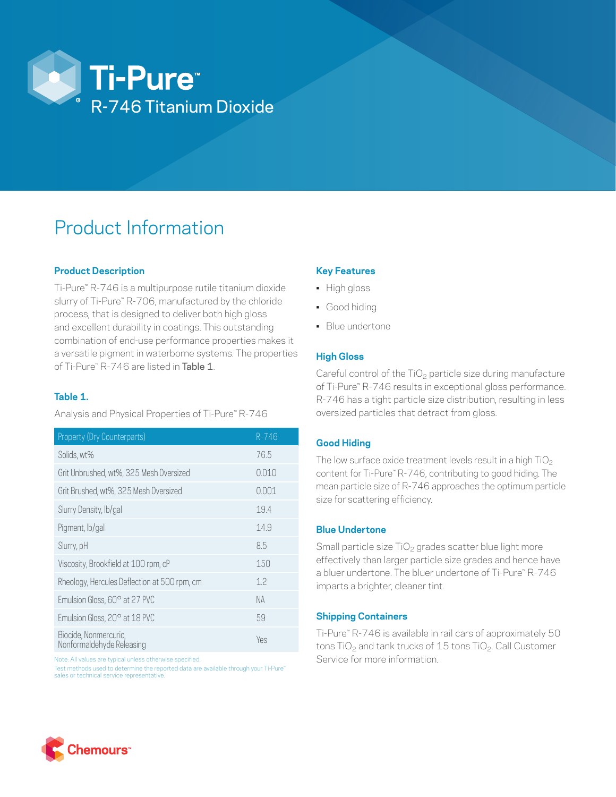

# Product Information

## **Product Description**

Ti-Pure™ R-746 is a multipurpose rutile titanium dioxide slurry of Ti-Pure™ R-706, manufactured by the chloride process, that is designed to deliver both high gloss and excellent durability in coatings. This outstanding combination of end-use performance properties makes it a versatile pigment in waterborne systems. The properties of Ti-Pure™ R-746 are listed in Table 1.

## **Table 1.**

Analysis and Physical Properties of Ti-Pure™ R-746

| Property (Dry Counterparts)                        | $R - 746$ |
|----------------------------------------------------|-----------|
| Solids, wt%                                        | 76.5      |
| Grit Unbrushed, wt%, 325 Mesh Oversized            | 0.010     |
| Grit Brushed, wt%, 325 Mesh Oversized              | 0.001     |
| Slurry Density, lb/gal                             | 19.4      |
| Pigment, lb/gal                                    | 14.9      |
| Slurry, pH                                         | 8.5       |
| Viscosity, Brookfield at 100 rpm, cP               | 150       |
| Rheology, Hercules Deflection at 500 rpm, cm       | 1.2       |
| Emulsion Gloss, 60° at 27 PVC                      | NA        |
| Emulsion Gloss, 20° at 18 PVC                      | 59        |
| Biocide, Nonmercuric,<br>Nonformaldehyde Releasing | Yes       |

Note: All values are typical unless otherwise specified.

Test methods used to determine the reported data are available through your Ti-Pure™ sales or technical service representative.

#### **Key Features**

- High gloss
- Good hiding
- Blue undertone

#### **High Gloss**

Careful control of the  $TiO<sub>2</sub>$  particle size during manufacture of Ti-Pure™ R-746 results in exceptional gloss performance. R-746 has a tight particle size distribution, resulting in less oversized particles that detract from gloss.

#### **Good Hiding**

The low surface oxide treatment levels result in a high  $TiO<sub>2</sub>$ content for Ti-Pure™ R-746, contributing to good hiding. The mean particle size of R-746 approaches the optimum particle size for scattering efficiency.

#### **Blue Undertone**

Small particle size  $TiO<sub>2</sub>$  grades scatter blue light more effectively than larger particle size grades and hence have a bluer undertone. The bluer undertone of Ti-Pure™ R-746 imparts a brighter, cleaner tint.

#### **Shipping Containers**

Ti-Pure™ R-746 is available in rail cars of approximately 50 tons TiO<sub>2</sub> and tank trucks of 15 tons TiO<sub>2</sub>. Call Customer Service for more information.